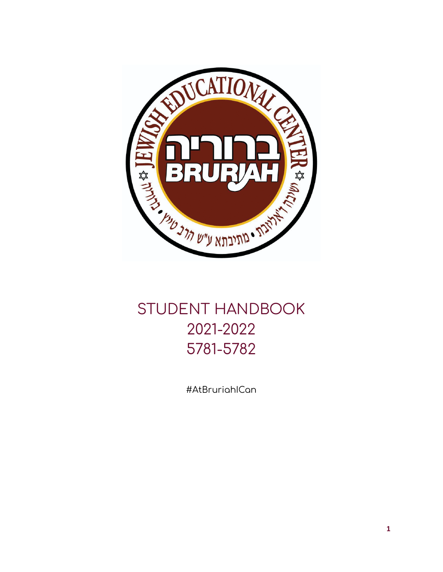

# STUDENT HANDBOOK 2021-2022 5781-5782

#AtBruriahICan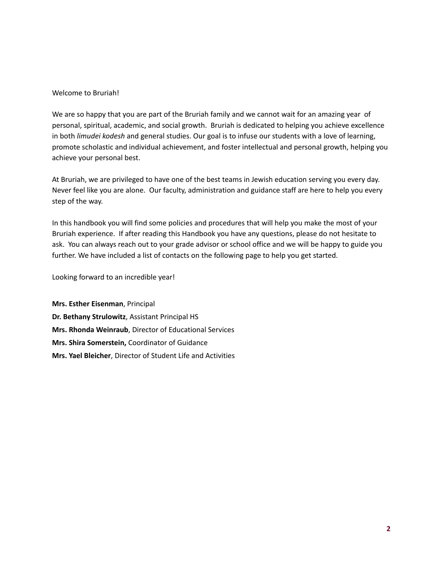#### Welcome to Bruriah!

We are so happy that you are part of the Bruriah family and we cannot wait for an amazing year of personal, spiritual, academic, and social growth. Bruriah is dedicated to helping you achieve excellence in both *limudei kodesh* and general studies. Our goal is to infuse our students with a love of learning, promote scholastic and individual achievement, and foster intellectual and personal growth, helping you achieve your personal best.

At Bruriah, we are privileged to have one of the best teams in Jewish education serving you every day. Never feel like you are alone. Our faculty, administration and guidance staff are here to help you every step of the way.

In this handbook you will find some policies and procedures that will help you make the most of your Bruriah experience. If after reading this Handbook you have any questions, please do not hesitate to ask. You can always reach out to your grade advisor or school office and we will be happy to guide you further. We have included a list of contacts on the following page to help you get started.

Looking forward to an incredible year!

**Mrs. Esther Eisenman**, Principal **Dr. Bethany Strulowitz**, Assistant Principal HS **Mrs. Rhonda Weinraub**, Director of Educational Services **Mrs. Shira Somerstein,** Coordinator of Guidance **Mrs. Yael Bleicher**, Director of Student Life and Activities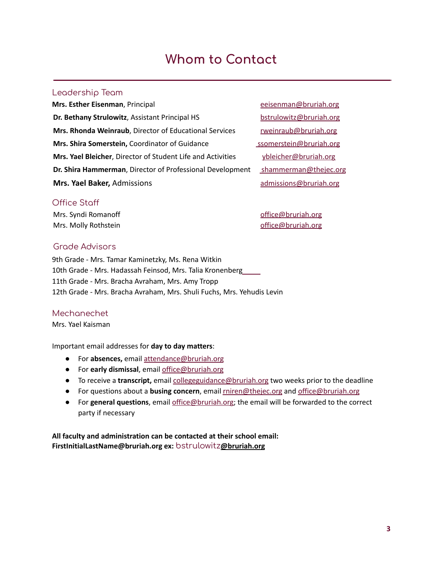# **Whom to Contact**

#### Leadership Team

**Mrs. Esther Eisenman**, Principal entertainment extends the extendion of extending the extendion of the extendion of the extendion of the extendion of the extendion of the extendion of the extendion of the extendion of the **Dr. Bethany Strulowitz**, Assistant Principal HS [bstrulowitz@bruriah.org](mailto:bstrulowitz@bruriah.org) **Mrs. Rhonda Weinraub**, Director of Educational Services [rweinraub@bruriah.org](mailto:rweinraub@bruriah.org) **Mrs. Shira Somerstein,** Coordinator of Guidance subsequent [ssomerstein@bruriah.org](mailto:ssomerstein@thejec.org) **Mrs. Yael Bleicher**, Director of Student Life and Activities *ybleicher@bruriah.org* **Dr. Shira Hammerman**, Director of Professional Development [shammerman@thejec.org](mailto:shammerman@thejec.org) **Mrs. Yael Baker,** Admissions and the metal [admissions@bruriah.org](mailto:admissions@bruriah.org)

#### Office Staff

Mrs. Syndi Romanoff and a state of the state of fice@bruriah.org Mrs. Molly Rothstein and a state of the [office@bruriah.org](mailto:office@bruriah.org)

#### Grade Advisors

9th Grade - Mrs. Tamar Kaminetzky, Ms. Rena Witkin 10th Grade - Mrs. Hadassah Feinsod, Mrs. Talia Kronenberg 11th Grade - Mrs. Bracha Avraham, Mrs. Amy Tropp 12th Grade - Mrs. Bracha Avraham, Mrs. Shuli Fuchs, Mrs. Yehudis Levin

## Mechanechet

Mrs. Yael Kaisman

#### Important email addresses for **day to day matters**:

- For **absences,** email [attendance@bruriah.org](mailto:attendance@bruriah.org)
- For **early dismissal**, email [office@bruriah.org](mailto:office@bruriah.org)
- **•** To receive a transcript, email [collegeguidance@bruriah.org](mailto:collegeguidance@bruriah.org) two weeks prior to the deadline
- For questions about a **busing concern**, email [rniren@thejec.org](mailto:rniren@thejec.org) and [office@bruriah.org](mailto:office@bruriah.org)
- For **general questions**, email [office@bruriah.org;](mailto:office@bruriah.org) the email will be forwarded to the correct party if necessary

**All faculty and administration can be contacted at their school email: FirstInitialLastName@bruriah.org ex:** [bstrulowitz](mailto:bstrulowitz@bruriah.org)**@bruriah.org**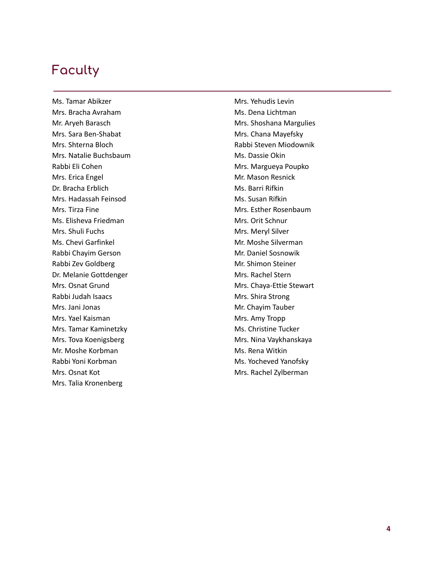# **Faculty**

Ms. Tamar Abikzer Mrs. Bracha Avraham Mr. Aryeh Barasch Mrs. Sara Ben-Shabat Mrs. Shterna Bloch Mrs. Natalie Buchsbaum Rabbi Eli Cohen Mrs. Erica Engel Dr. Bracha Erblich Mrs. Hadassah Feinsod Mrs. Tirza Fine Ms. Elisheva Friedman Mrs. Shuli Fuchs Ms. Chevi Garfinkel Rabbi Chayim Gerson Rabbi Zev Goldberg Dr. Melanie Gottdenger Mrs. Osnat Grund Rabbi Judah Isaacs Mrs. Jani Jonas Mrs. Yael Kaisman Mrs. Tamar Kaminetzky Mrs. Tova Koenigsberg Mr. Moshe Korbman Rabbi Yoni Korbman Mrs. Osnat Kot Mrs. Talia Kronenberg

Mrs. Yehudis Levin Ms. Dena Lichtman Mrs. Shoshana Margulies Mrs. Chana Mayefsky Rabbi Steven Miodownik Ms. Dassie Okin Mrs. Margueya Poupko Mr. Mason Resnick Ms. Barri Rifkin Ms. Susan Rifkin Mrs. Esther Rosenbaum Mrs. Orit Schnur Mrs. Meryl Silver Mr. Moshe Silverman Mr. Daniel Sosnowik Mr. Shimon Steiner Mrs. Rachel Stern Mrs. Chaya-Ettie Stewart Mrs. Shira Strong Mr. Chayim Tauber Mrs. Amy Tropp Ms. Christine Tucker Mrs. Nina Vaykhanskaya Ms. Rena Witkin Ms. Yocheved Yanofsky Mrs. Rachel Zylberman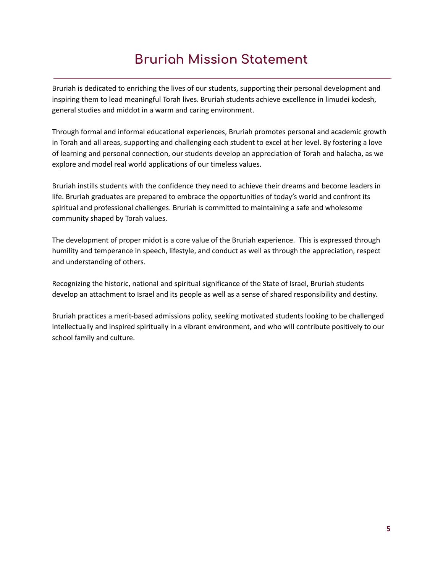# **Bruriah Mission Statement**

Bruriah is dedicated to enriching the lives of our students, supporting their personal development and inspiring them to lead meaningful Torah lives. Bruriah students achieve excellence in limudei kodesh, general studies and middot in a warm and caring environment.

Through formal and informal educational experiences, Bruriah promotes personal and academic growth in Torah and all areas, supporting and challenging each student to excel at her level. By fostering a love of learning and personal connection, our students develop an appreciation of Torah and halacha, as we explore and model real world applications of our timeless values.

Bruriah instills students with the confidence they need to achieve their dreams and become leaders in life. Bruriah graduates are prepared to embrace the opportunities of today's world and confront its spiritual and professional challenges. Bruriah is committed to maintaining a safe and wholesome community shaped by Torah values.

The development of proper midot is a core value of the Bruriah experience. This is expressed through humility and temperance in speech, lifestyle, and conduct as well as through the appreciation, respect and understanding of others.

Recognizing the historic, national and spiritual significance of the State of Israel, Bruriah students develop an attachment to Israel and its people as well as a sense of shared responsibility and destiny.

Bruriah practices a merit-based admissions policy, seeking motivated students looking to be challenged intellectually and inspired spiritually in a vibrant environment, and who will contribute positively to our school family and culture.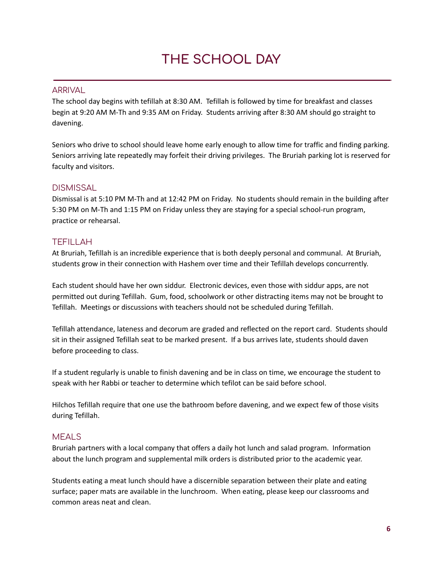# **THE SCHOOL DAY**

#### ARRIVAL

The school day begins with tefillah at 8:30 AM. Tefillah is followed by time for breakfast and classes begin at 9:20 AM M-Th and 9:35 AM on Friday. Students arriving after 8:30 AM should go straight to davening.

Seniors who drive to school should leave home early enough to allow time for traffic and finding parking. Seniors arriving late repeatedly may forfeit their driving privileges. The Bruriah parking lot is reserved for faculty and visitors.

#### **DISMISSAL**

Dismissal is at 5:10 PM M-Th and at 12:42 PM on Friday. No students should remain in the building after 5:30 PM on M-Th and 1:15 PM on Friday unless they are staying for a special school-run program, practice or rehearsal.

## TEFILLAH

At Bruriah, Tefillah is an incredible experience that is both deeply personal and communal. At Bruriah, students grow in their connection with Hashem over time and their Tefillah develops concurrently.

Each student should have her own siddur. Electronic devices, even those with siddur apps, are not permitted out during Tefillah. Gum, food, schoolwork or other distracting items may not be brought to Tefillah. Meetings or discussions with teachers should not be scheduled during Tefillah.

Tefillah attendance, lateness and decorum are graded and reflected on the report card. Students should sit in their assigned Tefillah seat to be marked present. If a bus arrives late, students should daven before proceeding to class.

If a student regularly is unable to finish davening and be in class on time, we encourage the student to speak with her Rabbi or teacher to determine which tefilot can be said before school.

Hilchos Tefillah require that one use the bathroom before davening, and we expect few of those visits during Tefillah.

## MEALS

Bruriah partners with a local company that offers a daily hot lunch and salad program. Information about the lunch program and supplemental milk orders is distributed prior to the academic year.

Students eating a meat lunch should have a discernible separation between their plate and eating surface; paper mats are available in the lunchroom. When eating, please keep our classrooms and common areas neat and clean.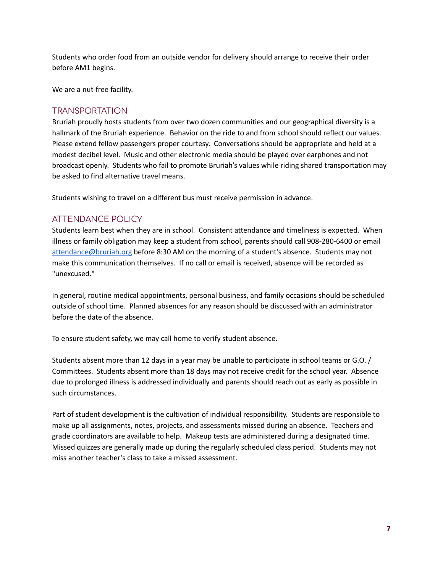Students who order food from an outside vendor for delivery should arrange to receive their order before AM1 begins.

We are a nut-free facility.

#### TRANSPORTATION

Bruriah proudly hosts students from over two dozen communities and our geographical diversity is a hallmark of the Bruriah experience. Behavior on the ride to and from school should reflect our values. Please extend fellow passengers proper courtesy. Conversations should be appropriate and held at a modest decibel level. Music and other electronic media should be played over earphones and not broadcast openly. Students who fail to promote Bruriah's values while riding shared transportation may be asked to find alternative travel means.

Students wishing to travel on a different bus must receive permission in advance.

## ATTENDANCE POLICY

Students learn best when they are in school. Consistent attendance and timeliness is expected. When illness or family obligation may keep a student from school, parents should call 908-280-6400 or email [attendance@bruriah.org](mailto:attendance@bruriah.org) before 8:30 AM on the morning of a student's absence. Students may not make this communication themselves. If no call or email is received, absence will be recorded as "unexcused."

In general, routine medical appointments, personal business, and family occasions should be scheduled outside of school time. Planned absences for any reason should be discussed with an administrator before the date of the absence.

To ensure student safety, we may call home to verify student absence.

Students absent more than 12 days in a year may be unable to participate in school teams or G.O. / Committees. Students absent more than 18 days may not receive credit for the school year. Absence due to prolonged illness is addressed individually and parents should reach out as early as possible in such circumstances.

Part of student development is the cultivation of individual responsibility. Students are responsible to make up all assignments, notes, projects, and assessments missed during an absence. Teachers and grade coordinators are available to help. Makeup tests are administered during a designated time. Missed quizzes are generally made up during the regularly scheduled class period. Students may not miss another teacher's class to take a missed assessment.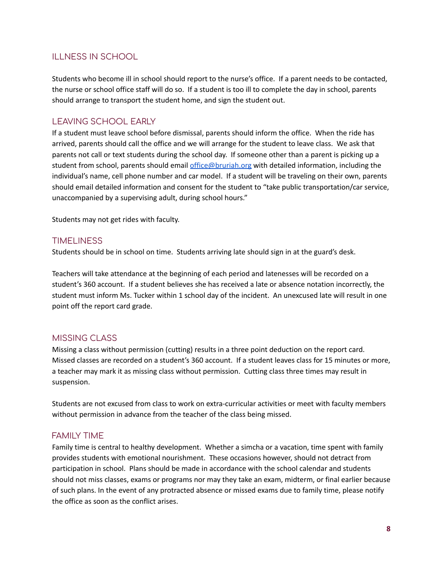## ILLNESS IN SCHOOL

Students who become ill in school should report to the nurse's office. If a parent needs to be contacted, the nurse or school office staff will do so. If a student is too ill to complete the day in school, parents should arrange to transport the student home, and sign the student out.

## LEAVING SCHOOL EARLY

If a student must leave school before dismissal, parents should inform the office. When the ride has arrived, parents should call the office and we will arrange for the student to leave class. We ask that parents not call or text students during the school day. If someone other than a parent is picking up a student from school, parents should email [office@bruriah.org](mailto:office@bruriah.org) with detailed information, including the individual's name, cell phone number and car model. If a student will be traveling on their own, parents should email detailed information and consent for the student to "take public transportation/car service, unaccompanied by a supervising adult, during school hours."

Students may not get rides with faculty.

#### **TIMELINESS**

Students should be in school on time. Students arriving late should sign in at the guard's desk.

Teachers will take attendance at the beginning of each period and latenesses will be recorded on a student's 360 account. If a student believes she has received a late or absence notation incorrectly, the student must inform Ms. Tucker within 1 school day of the incident. An unexcused late will result in one point off the report card grade.

#### MISSING CLASS

Missing a class without permission (cutting) results in a three point deduction on the report card. Missed classes are recorded on a student's 360 account. If a student leaves class for 15 minutes or more, a teacher may mark it as missing class without permission. Cutting class three times may result in suspension.

Students are not excused from class to work on extra-curricular activities or meet with faculty members without permission in advance from the teacher of the class being missed.

#### FAMILY TIME

Family time is central to healthy development. Whether a simcha or a vacation, time spent with family provides students with emotional nourishment. These occasions however, should not detract from participation in school. Plans should be made in accordance with the school calendar and students should not miss classes, exams or programs nor may they take an exam, midterm, or final earlier because of such plans. In the event of any protracted absence or missed exams due to family time, please notify the office as soon as the conflict arises.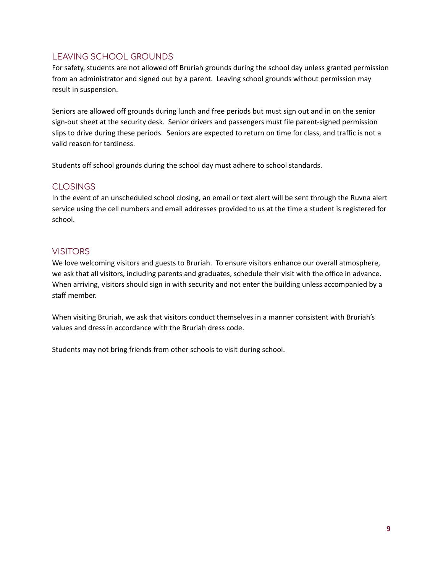# LEAVING SCHOOL GROUNDS

For safety, students are not allowed off Bruriah grounds during the school day unless granted permission from an administrator and signed out by a parent. Leaving school grounds without permission may result in suspension.

Seniors are allowed off grounds during lunch and free periods but must sign out and in on the senior sign-out sheet at the security desk. Senior drivers and passengers must file parent-signed permission slips to drive during these periods. Seniors are expected to return on time for class, and traffic is not a valid reason for tardiness.

Students off school grounds during the school day must adhere to school standards.

## CLOSINGS

In the event of an unscheduled school closing, an email or text alert will be sent through the Ruvna alert service using the cell numbers and email addresses provided to us at the time a student is registered for school.

# VISITORS

We love welcoming visitors and guests to Bruriah. To ensure visitors enhance our overall atmosphere, we ask that all visitors, including parents and graduates, schedule their visit with the office in advance. When arriving, visitors should sign in with security and not enter the building unless accompanied by a staff member.

When visiting Bruriah, we ask that visitors conduct themselves in a manner consistent with Bruriah's values and dress in accordance with the Bruriah dress code.

Students may not bring friends from other schools to visit during school.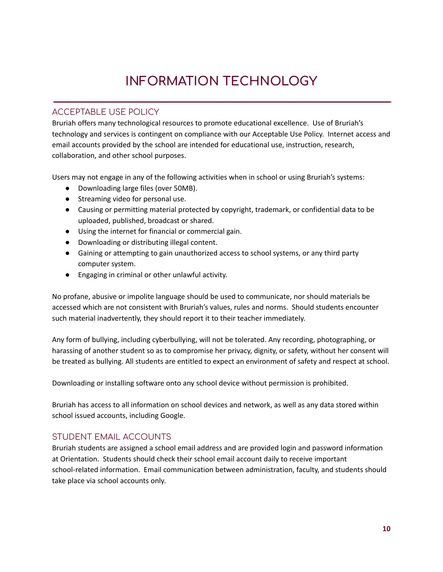# **INFORMATION TECHNOLOGY**

## ACCEPTABLE USE POLICY

Bruriah offers many technological resources to promote educational excellence. Use of Bruriah's technology and services is contingent on compliance with our Acceptable Use Policy. Internet access and email accounts provided by the school are intended for educational use, instruction, research, collaboration, and other school purposes.

Users may not engage in any of the following activities when in school or using Bruriah's systems:

- Downloading large files (over 50MB).
- Streaming video for personal use.
- Causing or permitting material protected by copyright, trademark, or confidential data to be uploaded, published, broadcast or shared.
- Using the internet for financial or commercial gain.
- Downloading or distributing illegal content.
- Gaining or attempting to gain unauthorized access to school systems, or any third party computer system.
- Engaging in criminal or other unlawful activity.

No profane, abusive or impolite language should be used to communicate, nor should materials be accessed which are not consistent with Bruriah's values, rules and norms. Should students encounter such material inadvertently, they should report it to their teacher immediately.

Any form of bullying, including cyberbullying, will not be tolerated. Any recording, photographing, or harassing of another student so as to compromise her privacy, dignity, or safety, without her consent will be treated as bullying. All students are entitled to expect an environment of safety and respect at school.

Downloading or installing software onto any school device without permission is prohibited.

Bruriah has access to all information on school devices and network, as well as any data stored within school issued accounts, including Google.

## STUDENT EMAIL ACCOUNTS

Bruriah students are assigned a school email address and are provided login and password information at Orientation. Students should check their school email account daily to receive important school-related information. Email communication between administration, faculty, and students should take place via school accounts only.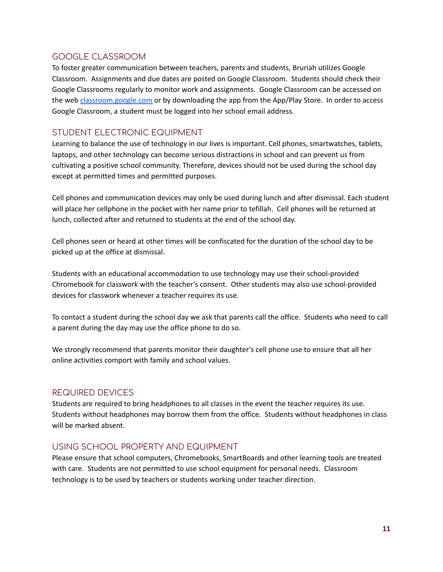## GOOGLE CLASSROOM

To foster greater communication between teachers, parents and students, Bruriah utilizes Google Classroom. Assignments and due dates are posted on Google Classroom. Students should check their Google Classrooms regularly to monitor work and assignments. Google Classroom can be accessed on the web [classroom.google.com](http://classroom.google.com) or by downloading the app from the App/Play Store. In order to access Google Classroom, a student must be logged into her school email address.

## STUDENT ELECTRONIC EQUIPMENT

Learning to balance the use of technology in our lives is important. Cell phones, smartwatches, tablets, laptops, and other technology can become serious distractions in school and can prevent us from cultivating a positive school community. Therefore, devices should not be used during the school day except at permitted times and permitted purposes.

Cell phones and communication devices may only be used during lunch and after dismissal. Each student will place her cellphone in the pocket with her name prior to tefillah. Cell phones will be returned at lunch, collected after and returned to students at the end of the school day.

Cell phones seen or heard at other times will be confiscated for the duration of the school day to be picked up at the office at dismissal.

Students with an educational accommodation to use technology may use their school-provided Chromebook for classwork with the teacher's consent. Other students may also use school-provided devices for classwork whenever a teacher requires its use.

To contact a student during the school day we ask that parents call the office. Students who need to call a parent during the day may use the office phone to do so.

We strongly recommend that parents monitor their daughter's cell phone use to ensure that all her online activities comport with family and school values.

## REQUIRED DEVICES

Students are required to bring headphones to all classes in the event the teacher requires its use. Students without headphones may borrow them from the office. Students without headphones in class will be marked absent.

## USING SCHOOL PROPERTY AND EQUIPMENT

Please ensure that school computers, Chromebooks, SmartBoards and other learning tools are treated with care. Students are not permitted to use school equipment for personal needs. Classroom technology is to be used by teachers or students working under teacher direction.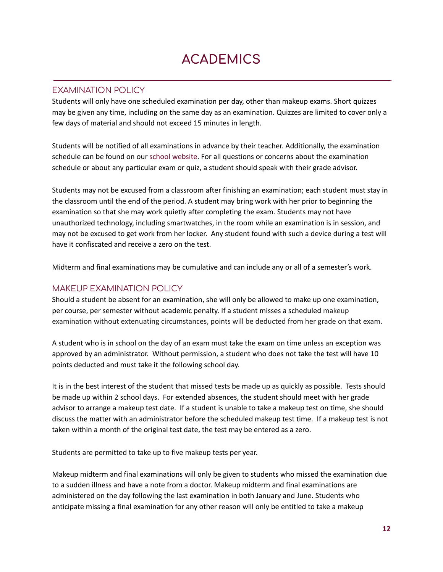# **ACADEMICS**

### EXAMINATION POLICY

Students will only have one scheduled examination per day, other than makeup exams. Short quizzes may be given any time, including on the same day as an examination. Quizzes are limited to cover only a few days of material and should not exceed 15 minutes in length.

Students will be notified of all examinations in advance by their teacher. Additionally, the examination schedule can be found on our school [website.](http://bruriah.org) For all questions or concerns about the examination schedule or about any particular exam or quiz, a student should speak with their grade advisor.

Students may not be excused from a classroom after finishing an examination; each student must stay in the classroom until the end of the period. A student may bring work with her prior to beginning the examination so that she may work quietly after completing the exam. Students may not have unauthorized technology, including smartwatches, in the room while an examination is in session, and may not be excused to get work from her locker. Any student found with such a device during a test will have it confiscated and receive a zero on the test.

Midterm and final examinations may be cumulative and can include any or all of a semester's work.

## MAKEUP EXAMINATION POLICY

Should a student be absent for an examination, she will only be allowed to make up one examination, per course, per semester without academic penalty. If a student misses a scheduled makeup examination without extenuating circumstances, points will be deducted from her grade on that exam.

A student who is in school on the day of an exam must take the exam on time unless an exception was approved by an administrator. Without permission, a student who does not take the test will have 10 points deducted and must take it the following school day.

It is in the best interest of the student that missed tests be made up as quickly as possible. Tests should be made up within 2 school days. For extended absences, the student should meet with her grade advisor to arrange a makeup test date. If a student is unable to take a makeup test on time, she should discuss the matter with an administrator before the scheduled makeup test time. If a makeup test is not taken within a month of the original test date, the test may be entered as a zero.

Students are permitted to take up to five makeup tests per year.

Makeup midterm and final examinations will only be given to students who missed the examination due to a sudden illness and have a note from a doctor. Makeup midterm and final examinations are administered on the day following the last examination in both January and June. Students who anticipate missing a final examination for any other reason will only be entitled to take a makeup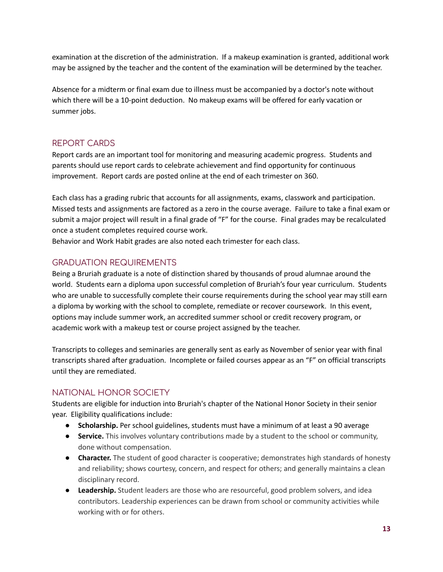examination at the discretion of the administration. If a makeup examination is granted, additional work may be assigned by the teacher and the content of the examination will be determined by the teacher.

Absence for a midterm or final exam due to illness must be accompanied by a doctor's note without which there will be a 10-point deduction. No makeup exams will be offered for early vacation or summer jobs.

## REPORT CARDS

Report cards are an important tool for monitoring and measuring academic progress. Students and parents should use report cards to celebrate achievement and find opportunity for continuous improvement. Report cards are posted online at the end of each trimester on 360.

Each class has a grading rubric that accounts for all assignments, exams, classwork and participation. Missed tests and assignments are factored as a zero in the course average. Failure to take a final exam or submit a major project will result in a final grade of "F" for the course. Final grades may be recalculated once a student completes required course work.

Behavior and Work Habit grades are also noted each trimester for each class.

# GRADUATION REQUIREMENTS

Being a Bruriah graduate is a note of distinction shared by thousands of proud alumnae around the world. Students earn a diploma upon successful completion of Bruriah's four year curriculum. Students who are unable to successfully complete their course requirements during the school year may still earn a diploma by working with the school to complete, remediate or recover coursework. In this event, options may include summer work, an accredited summer school or credit recovery program, or academic work with a makeup test or course project assigned by the teacher.

Transcripts to colleges and seminaries are generally sent as early as November of senior year with final transcripts shared after graduation. Incomplete or failed courses appear as an "F" on official transcripts until they are remediated.

# NATIONAL HONOR SOCIETY

Students are eligible for induction into Bruriah's chapter of the National Honor Society in their senior year. Eligibility qualifications include:

- **● Scholarship.** Per school guidelines, students must have a minimum of at least a 90 average
- **● Service.** This involves voluntary contributions made by a student to the school or community, done without compensation.
- **● Character.** The student of good character is cooperative; demonstrates high standards of honesty and reliability; shows courtesy, concern, and respect for others; and generally maintains a clean disciplinary record.
- **● Leadership.** Student leaders are those who are resourceful, good problem solvers, and idea contributors. Leadership experiences can be drawn from school or community activities while working with or for others.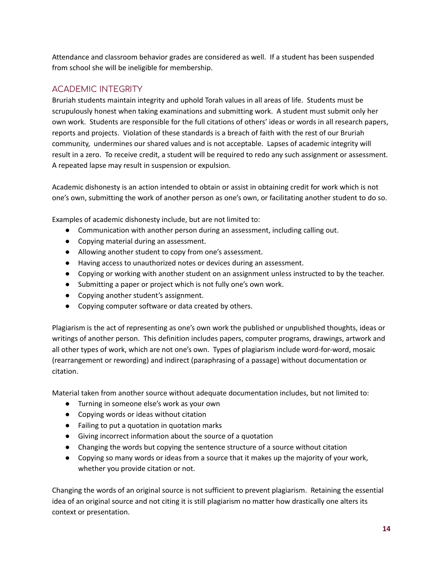Attendance and classroom behavior grades are considered as well. If a student has been suspended from school she will be ineligible for membership.

# ACADEMIC INTEGRITY

Bruriah students maintain integrity and uphold Torah values in all areas of life. Students must be scrupulously honest when taking examinations and submitting work. A student must submit only her own work. Students are responsible for the full citations of others' ideas or words in all research papers, reports and projects. Violation of these standards is a breach of faith with the rest of our Bruriah community, undermines our shared values and is not acceptable. Lapses of academic integrity will result in a zero. To receive credit, a student will be required to redo any such assignment or assessment. A repeated lapse may result in suspension or expulsion.

Academic dishonesty is an action intended to obtain or assist in obtaining credit for work which is not one's own, submitting the work of another person as one's own, or facilitating another student to do so.

Examples of academic dishonesty include, but are not limited to:

- Communication with another person during an assessment, including calling out.
- Copying material during an assessment.
- Allowing another student to copy from one's assessment.
- Having access to unauthorized notes or devices during an assessment.
- Copying or working with another student on an assignment unless instructed to by the teacher.
- Submitting a paper or project which is not fully one's own work.
- Copying another student's assignment.
- Copying computer software or data created by others.

Plagiarism is the act of representing as one's own work the published or unpublished thoughts, ideas or writings of another person. This definition includes papers, computer programs, drawings, artwork and all other types of work, which are not one's own. Types of plagiarism include word-for-word, mosaic (rearrangement or rewording) and indirect (paraphrasing of a passage) without documentation or citation.

Material taken from another source without adequate documentation includes, but not limited to:

- Turning in someone else's work as your own
- Copying words or ideas without citation
- Failing to put a quotation in quotation marks
- Giving incorrect information about the source of a quotation
- Changing the words but copying the sentence structure of a source without citation
- Copying so many words or ideas from a source that it makes up the majority of your work, whether you provide citation or not.

Changing the words of an original source is not sufficient to prevent plagiarism. Retaining the essential idea of an original source and not citing it is still plagiarism no matter how drastically one alters its context or presentation.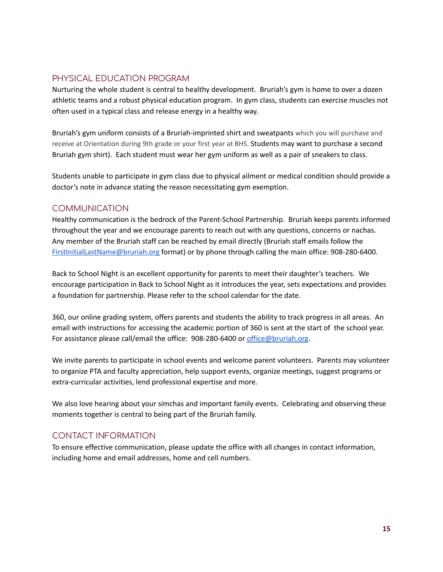## PHYSICAL EDUCATION PROGRAM

Nurturing the whole student is central to healthy development. Bruriah's gym is home to over a dozen athletic teams and a robust physical education program. In gym class, students can exercise muscles not often used in a typical class and release energy in a healthy way.

Bruriah's gym uniform consists of a Bruriah-imprinted shirt and sweatpants which you will purchase and receive at Orientation during 9th grade or your first year at BHS. Students may want to purchase a second Bruriah gym shirt). Each student must wear her gym uniform as well as a pair of sneakers to class.

Students unable to participate in gym class due to physical ailment or medical condition should provide a doctor's note in advance stating the reason necessitating gym exemption.

## COMMUNICATION

Healthy communication is the bedrock of the Parent-School Partnership. Bruriah keeps parents informed throughout the year and we encourage parents to reach out with any questions, concerns or nachas. Any member of the Bruriah staff can be reached by email directly (Bruriah staff emails follow the [FirstInitialLastName@bruriah.org](mailto:FirstInitialLastName@bruriah.org) format) or by phone through calling the main office: 908-280-6400.

Back to School Night is an excellent opportunity for parents to meet their daughter's teachers. We encourage participation in Back to School Night as it introduces the year, sets expectations and provides a foundation for partnership. Please refer to the school calendar for the date.

360, our online grading system, offers parents and students the ability to track progress in all areas. An email with instructions for accessing the academic portion of 360 is sent at the start of the school year. For assistance please call/email the office: 908-280-6400 or [office@bruriah.org](mailto:office@bruriah.org).

We invite parents to participate in school events and welcome parent volunteers. Parents may volunteer to organize PTA and faculty appreciation, help support events, organize meetings, suggest programs or extra-curricular activities, lend professional expertise and more.

We also love hearing about your simchas and important family events. Celebrating and observing these moments together is central to being part of the Bruriah family.

## CONTACT INFORMATION

To ensure effective communication, please update the office with all changes in contact information, including home and email addresses, home and cell numbers.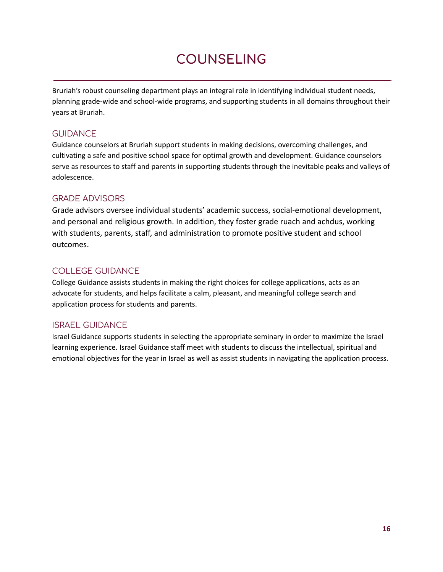# **COUNSELING**

Bruriah's robust counseling department plays an integral role in identifying individual student needs, planning grade-wide and school-wide programs, and supporting students in all domains throughout their years at Bruriah.

## **GUIDANCE**

Guidance counselors at Bruriah support students in making decisions, overcoming challenges, and cultivating a safe and positive school space for optimal growth and development. Guidance counselors serve as resources to staff and parents in supporting students through the inevitable peaks and valleys of adolescence.

# GRADE ADVISORS

Grade advisors oversee individual students' academic success, social-emotional development, and personal and religious growth. In addition, they foster grade ruach and achdus, working with students, parents, staff, and administration to promote positive student and school outcomes.

# COLLEGE GUIDANCE

College Guidance assists students in making the right choices for college applications, acts as an advocate for students, and helps facilitate a calm, pleasant, and meaningful college search and application process for students and parents.

# ISRAEL GUIDANCE

Israel Guidance supports students in selecting the appropriate seminary in order to maximize the Israel learning experience. Israel Guidance staff meet with students to discuss the intellectual, spiritual and emotional objectives for the year in Israel as well as assist students in navigating the application process.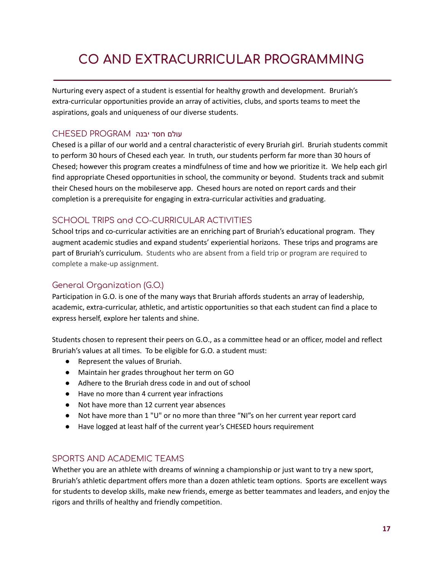# **CO AND EXTRACURRICULAR PROGRAMMING**

Nurturing every aspect of a student is essential for healthy growth and development. Bruriah's extra-curricular opportunities provide an array of activities, clubs, and sports teams to meet the aspirations, goals and uniqueness of our diverse students.

### עולם חסד יבנה PROGRAM CHESED

Chesed is a pillar of our world and a central characteristic of every Bruriah girl. Bruriah students commit to perform 30 hours of Chesed each year. In truth, our students perform far more than 30 hours of Chesed; however this program creates a mindfulness of time and how we prioritize it. We help each girl find appropriate Chesed opportunities in school, the community or beyond. Students track and submit their Chesed hours on the mobileserve app. Chesed hours are noted on report cards and their completion is a prerequisite for engaging in extra-curricular activities and graduating.

# SCHOOL TRIPS and CO-CURRICULAR ACTIVITIES

School trips and co-curricular activities are an enriching part of Bruriah's educational program. They augment academic studies and expand students' experiential horizons. These trips and programs are part of Bruriah's curriculum. Students who are absent from a field trip or program are required to complete a make-up assignment.

## General Organization (G.O.)

Participation in G.O. is one of the many ways that Bruriah affords students an array of leadership, academic, extra-curricular, athletic, and artistic opportunities so that each student can find a place to express herself, explore her talents and shine.

Students chosen to represent their peers on G.O., as a committee head or an officer, model and reflect Bruriah's values at all times. To be eligible for G.O. a student must:

- Represent the values of Bruriah.
- Maintain her grades throughout her term on GO
- Adhere to the Bruriah dress code in and out of school
- Have no more than 4 current year infractions
- Not have more than 12 current year absences
- Not have more than 1 "U" or no more than three "NI"s on her current year report card
- Have logged at least half of the current year's CHESED hours requirement

## SPORTS AND ACADEMIC TEAMS

Whether you are an athlete with dreams of winning a championship or just want to try a new sport, Bruriah's athletic department offers more than a dozen athletic team options. Sports are excellent ways for students to develop skills, make new friends, emerge as better teammates and leaders, and enjoy the rigors and thrills of healthy and friendly competition.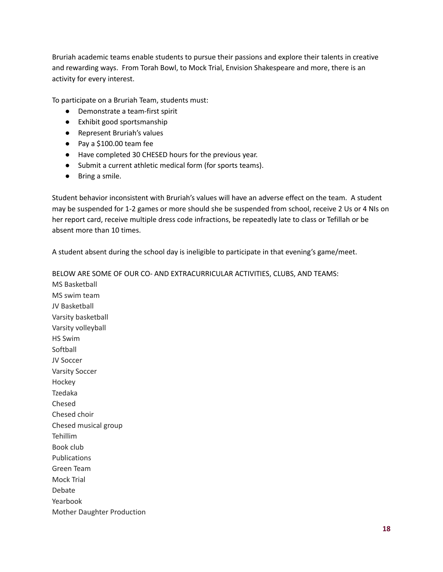Bruriah academic teams enable students to pursue their passions and explore their talents in creative and rewarding ways. From Torah Bowl, to Mock Trial, Envision Shakespeare and more, there is an activity for every interest.

To participate on a Bruriah Team, students must:

- Demonstrate a team-first spirit
- Exhibit good sportsmanship
- Represent Bruriah's values
- Pay a \$100.00 team fee
- Have completed 30 CHESED hours for the previous year.
- Submit a current athletic medical form (for sports teams).
- Bring a smile.

Student behavior inconsistent with Bruriah's values will have an adverse effect on the team. A student may be suspended for 1-2 games or more should she be suspended from school, receive 2 Us or 4 NIs on her report card, receive multiple dress code infractions, be repeatedly late to class or Tefillah or be absent more than 10 times.

A student absent during the school day is ineligible to participate in that evening's game/meet.

BELOW ARE SOME OF OUR CO- AND EXTRACURRICULAR ACTIVITIES, CLUBS, AND TEAMS:

MS Basketball MS swim team JV Basketball Varsity basketball Varsity volleyball HS Swim Softball JV Soccer Varsity Soccer Hockey Tzedaka Chesed Chesed choir Chesed musical group Tehillim Book club Publications Green Team Mock Trial Debate Yearbook Mother Daughter Production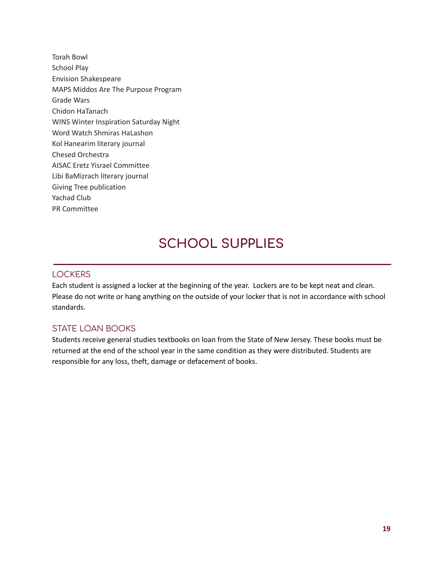Torah Bowl School Play Envision Shakespeare MAPS Middos Are The Purpose Program Grade Wars Chidon HaTanach WINS Winter Inspiration Saturday Night Word Watch Shmiras HaLashon Kol Hanearim literary journal Chesed Orchestra AISAC Eretz Yisrael Committee Libi BaMizrach literary journal Giving Tree publication Yachad Club PR Committee

# **SCHOOL SUPPLIES**

## **LOCKERS**

Each student is assigned a locker at the beginning of the year. Lockers are to be kept neat and clean. Please do not write or hang anything on the outside of your locker that is not in accordance with school standards.

## STATE LOAN BOOKS

Students receive general studies textbooks on loan from the State of New Jersey. These books must be returned at the end of the school year in the same condition as they were distributed. Students are responsible for any loss, theft, damage or defacement of books.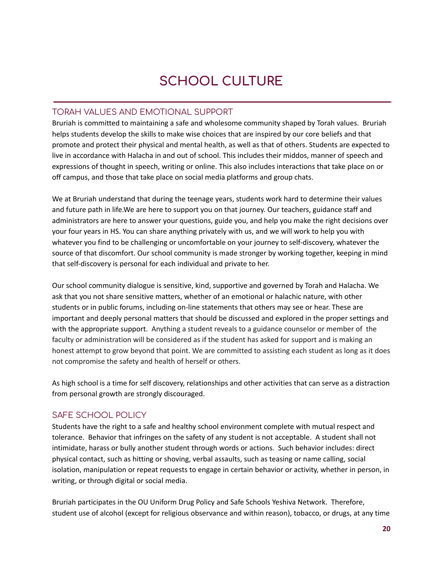# **SCHOOL CULTURE**

## TORAH VALUES AND EMOTIONAL SUPPORT

Bruriah is committed to maintaining a safe and wholesome community shaped by Torah values. Bruriah helps students develop the skills to make wise choices that are inspired by our core beliefs and that promote and protect their physical and mental health, as well as that of others. Students are expected to live in accordance with Halacha in and out of school. This includes their middos, manner of speech and expressions of thought in speech, writing or online. This also includes interactions that take place on or off campus, and those that take place on social media platforms and group chats.

We at Bruriah understand that during the teenage years, students work hard to determine their values and future path in life.We are here to support you on that journey. Our teachers, guidance staff and administrators are here to answer your questions, guide you, and help you make the right decisions over your four years in HS. You can share anything privately with us, and we will work to help you with whatever you find to be challenging or uncomfortable on your journey to self-discovery, whatever the source of that discomfort. Our school community is made stronger by working together, keeping in mind that self-discovery is personal for each individual and private to her.

Our school community dialogue is sensitive, kind, supportive and governed by Torah and Halacha. We ask that you not share sensitive matters, whether of an emotional or halachic nature, with other students or in public forums, including on-line statements that others may see or hear. These are important and deeply personal matters that should be discussed and explored in the proper settings and with the appropriate support. Anything a student reveals to a guidance counselor or member of the faculty or administration will be considered as if the student has asked for support and is making an honest attempt to grow beyond that point. We are committed to assisting each student as long as it does not compromise the safety and health of herself or others.

As high school is a time for self discovery, relationships and other activities that can serve as a distraction from personal growth are strongly discouraged.

# SAFE SCHOOL POLICY

Students have the right to a safe and healthy school environment complete with mutual respect and tolerance. Behavior that infringes on the safety of any student is not acceptable. A student shall not intimidate, harass or bully another student through words or actions. Such behavior includes: direct physical contact, such as hitting or shoving, verbal assaults, such as teasing or name calling, social isolation, manipulation or repeat requests to engage in certain behavior or activity, whether in person, in writing, or through digital or social media.

Bruriah participates in the OU Uniform Drug Policy and Safe Schools Yeshiva Network. Therefore, student use of alcohol (except for religious observance and within reason), tobacco, or drugs, at any time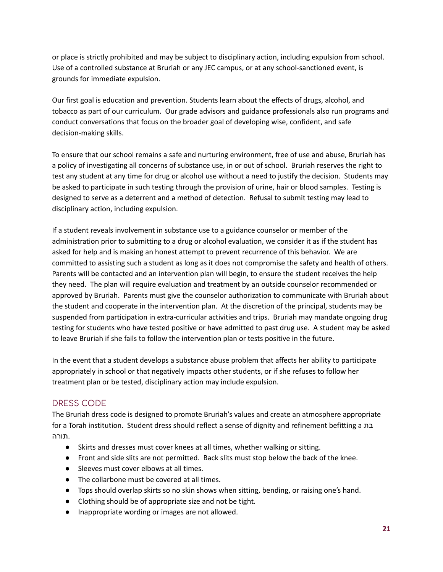or place is strictly prohibited and may be subject to disciplinary action, including expulsion from school. Use of a controlled substance at Bruriah or any JEC campus, or at any school-sanctioned event, is grounds for immediate expulsion.

Our first goal is education and prevention. Students learn about the effects of drugs, alcohol, and tobacco as part of our curriculum. Our grade advisors and guidance professionals also run programs and conduct conversations that focus on the broader goal of developing wise, confident, and safe decision-making skills.

To ensure that our school remains a safe and nurturing environment, free of use and abuse, Bruriah has a policy of investigating all concerns of substance use, in or out of school. Bruriah reserves the right to test any student at any time for drug or alcohol use without a need to justify the decision. Students may be asked to participate in such testing through the provision of urine, hair or blood samples. Testing is designed to serve as a deterrent and a method of detection. Refusal to submit testing may lead to disciplinary action, including expulsion.

If a student reveals involvement in substance use to a guidance counselor or member of the administration prior to submitting to a drug or alcohol evaluation, we consider it as if the student has asked for help and is making an honest attempt to prevent recurrence of this behavior. We are committed to assisting such a student as long as it does not compromise the safety and health of others. Parents will be contacted and an intervention plan will begin, to ensure the student receives the help they need. The plan will require evaluation and treatment by an outside counselor recommended or approved by Bruriah. Parents must give the counselor authorization to communicate with Bruriah about the student and cooperate in the intervention plan. At the discretion of the principal, students may be suspended from participation in extra-curricular activities and trips. Bruriah may mandate ongoing drug testing for students who have tested positive or have admitted to past drug use. A student may be asked to leave Bruriah if she fails to follow the intervention plan or tests positive in the future.

In the event that a student develops a substance abuse problem that affects her ability to participate appropriately in school or that negatively impacts other students, or if she refuses to follow her treatment plan or be tested, disciplinary action may include expulsion.

# DRESS CODE

The Bruriah dress code is designed to promote Bruriah's values and create an atmosphere appropriate for a Torah institution. Student dress should reflect a sense of dignity and refinement befitting a בת .תורה

- Skirts and dresses must cover knees at all times, whether walking or sitting.
- Front and side slits are not permitted. Back slits must stop below the back of the knee.
- Sleeves must cover elbows at all times.
- The collarbone must be covered at all times.
- Tops should overlap skirts so no skin shows when sitting, bending, or raising one's hand.
- Clothing should be of appropriate size and not be tight.
- Inappropriate wording or images are not allowed.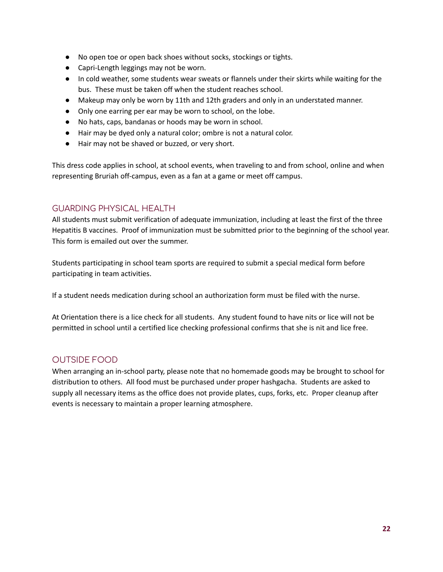- No open toe or open back shoes without socks, stockings or tights.
- Capri-Length leggings may not be worn.
- In cold weather, some students wear sweats or flannels under their skirts while waiting for the bus. These must be taken off when the student reaches school.
- Makeup may only be worn by 11th and 12th graders and only in an understated manner.
- Only one earring per ear may be worn to school, on the lobe.
- No hats, caps, bandanas or hoods may be worn in school.
- Hair may be dyed only a natural color; ombre is not a natural color.
- Hair may not be shaved or buzzed, or very short.

This dress code applies in school, at school events, when traveling to and from school, online and when representing Bruriah off-campus, even as a fan at a game or meet off campus.

#### GUARDING PHYSICAL HEALTH

All students must submit verification of adequate immunization, including at least the first of the three Hepatitis B vaccines. Proof of immunization must be submitted prior to the beginning of the school year. This form is emailed out over the summer.

Students participating in school team sports are required to submit a special medical form before participating in team activities.

If a student needs medication during school an authorization form must be filed with the nurse.

At Orientation there is a lice check for all students. Any student found to have nits or lice will not be permitted in school until a certified lice checking professional confirms that she is nit and lice free.

## OUTSIDE FOOD

When arranging an in-school party, please note that no homemade goods may be brought to school for distribution to others. All food must be purchased under proper hashgacha. Students are asked to supply all necessary items as the office does not provide plates, cups, forks, etc. Proper cleanup after events is necessary to maintain a proper learning atmosphere.